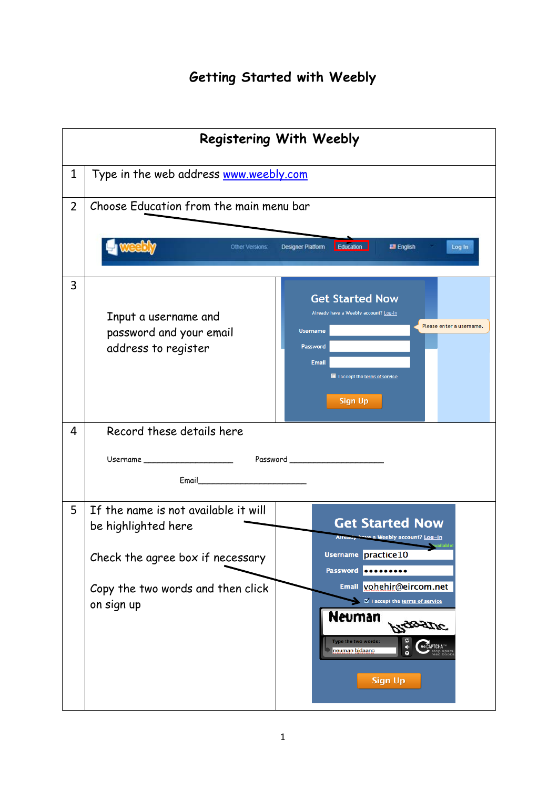## **Getting Started with Weebly**

|                | <b>Registering With Weebly</b>                                                                                                                     |                                                                                                                                                                                                                                                                                                                               |  |
|----------------|----------------------------------------------------------------------------------------------------------------------------------------------------|-------------------------------------------------------------------------------------------------------------------------------------------------------------------------------------------------------------------------------------------------------------------------------------------------------------------------------|--|
| 1              | Type in the web address www.weebly.com                                                                                                             |                                                                                                                                                                                                                                                                                                                               |  |
| $\overline{2}$ | Choose Education from the main menu bar                                                                                                            |                                                                                                                                                                                                                                                                                                                               |  |
|                | Other Versions:                                                                                                                                    | Education<br><b>Designer Platform</b><br><b>English</b><br>Log In                                                                                                                                                                                                                                                             |  |
| 3              | Input a username and<br>password and your email<br>address to register                                                                             | <b>Get Started Now</b><br>Already have a Weebly account? Log-in<br>Please enter a username.<br><b>Username</b><br>Password<br><b>Email</b><br>I laccept the terms of service<br><b>Sign Up</b>                                                                                                                                |  |
| 4              | Record these details here                                                                                                                          |                                                                                                                                                                                                                                                                                                                               |  |
|                | Username ______________________                                                                                                                    | Password _______________________                                                                                                                                                                                                                                                                                              |  |
| 5              | If the name is not available it will<br>be highlighted here<br>Check the agree box if necessary<br>Copy the two words and then click<br>on sign up | <b>Get Started Now</b><br>Alread, have a Weebly account? Log-in<br>railable<br>Username practice10<br>Password <b>OCOOOOOOO</b><br>Email vohehir@eircom.net<br>I accept the terms of service<br>Neuman<br>PLAZERTIC<br>Type the two words:<br>Re CAPTCHA<br>⋪<br>neuman bidaanc<br>stop spam.<br>read books<br><b>Sign Up</b> |  |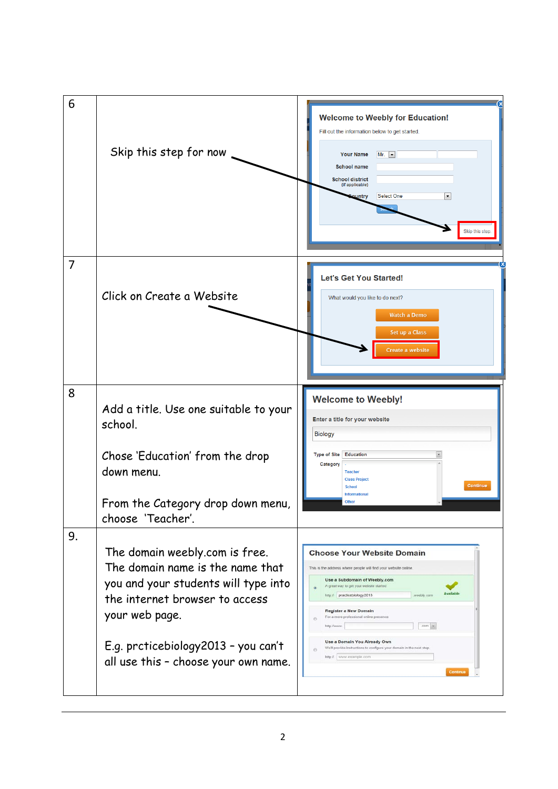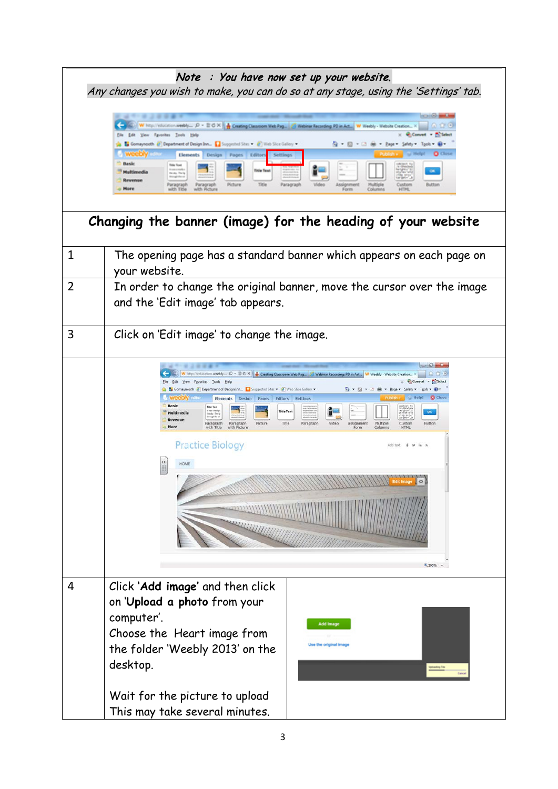|             | Note : You have now set up your website.                                                                                                                                                                                                                                                                                                                                                                                                                                                                                                                                                                                                                                                                                                                                                                                                                                                                                                                                                                                                                                                  |  |
|-------------|-------------------------------------------------------------------------------------------------------------------------------------------------------------------------------------------------------------------------------------------------------------------------------------------------------------------------------------------------------------------------------------------------------------------------------------------------------------------------------------------------------------------------------------------------------------------------------------------------------------------------------------------------------------------------------------------------------------------------------------------------------------------------------------------------------------------------------------------------------------------------------------------------------------------------------------------------------------------------------------------------------------------------------------------------------------------------------------------|--|
|             | Any changes you wish to make, you can do so at any stage, using the 'Settings' tab.                                                                                                                                                                                                                                                                                                                                                                                                                                                                                                                                                                                                                                                                                                                                                                                                                                                                                                                                                                                                       |  |
|             | $\frac{1}{2} \left( \begin{array}{ccc} 0 & 0 & 0 \\ 0 & 0 & 0 \\ 0 & 0 & 0 \\ 0 & 0 & 0 \\ 0 & 0 & 0 \\ 0 & 0 & 0 \\ 0 & 0 & 0 \\ 0 & 0 & 0 \\ 0 & 0 & 0 \\ 0 & 0 & 0 \\ 0 & 0 & 0 \\ 0 & 0 & 0 & 0 \\ 0 & 0 & 0 & 0 \\ 0 & 0 & 0 & 0 \\ 0 & 0 & 0 & 0 & 0 \\ 0 & 0 & 0 & 0 & 0 \\ 0 & 0 & 0 & 0 & 0 \\ 0 & 0 & 0 & 0 & 0 \\ 0 & 0 & 0$<br>--<br>W http://education.weebly $D = \mathbb{B} \circ \mathbb{C} \times \mathbb{R}$ Creating Clearcom Web Pag & Weblinar Facording PD in Act W Weebly - Website Creation.<br>Ele Edit Vew Fgronbes Tools Help<br>X Convert - Th Select<br>Comaynooth ( Capartment of Design Inn., C Supported Sites C (Theb Sice Gallery .<br>Q → 図 → □ ش → Expt → Selety → Tgoh → B+<br><b>O</b> Clos<br><b>Elements</b> Design Pages Editor<br>Basic<br><b>Tatle Food</b><br><b>fittle Text</b><br>$\overline{C}$<br>Multimedia<br>tests fork<br>Revenue<br>Title<br><b>Button</b><br>Paragraph<br>Paragraph<br>Video<br>More<br>with Title<br>with Dicture<br>Form<br>Column<br><b>NTPS:</b><br>Changing the banner (image) for the heading of your website |  |
| $\mathbf 1$ | The opening page has a standard banner which appears on each page on<br>your website.                                                                                                                                                                                                                                                                                                                                                                                                                                                                                                                                                                                                                                                                                                                                                                                                                                                                                                                                                                                                     |  |
| 2           | In order to change the original banner, move the cursor over the image<br>and the 'Edit image' tab appears.                                                                                                                                                                                                                                                                                                                                                                                                                                                                                                                                                                                                                                                                                                                                                                                                                                                                                                                                                                               |  |
| 3           | Click on 'Edit image' to change the image.                                                                                                                                                                                                                                                                                                                                                                                                                                                                                                                                                                                                                                                                                                                                                                                                                                                                                                                                                                                                                                                |  |
|             | W http://education.weebly $D = \frac{m}{m} C \times \frac{1}{m}$ Creating Classroom Web Pag (4) Webinar Recording: PD in Act W Weebly - Website Creation<br>· Fa Select<br>View Favorites Tools Help<br>Gomaynooth 2 Department of Design Inn In Suggested Sites v 2 Web Slice Gallery v<br>• 因 ▼ 同 ▼ 同   mil ▼ Page ▼ Safety ▼ Tgols ▼ 2<br><b>C</b> Close<br><b>G</b> Help!<br><b>Weebly</b> calls<br>Elements Design Pages Editors Settings<br><b>Basic</b><br><b>Title Text</b><br><b>Title Text</b><br><b>OK</b><br>Multimedia<br><b>Revenue</b><br>Paragraph<br>Paragraph<br>Picture<br>Title<br>Assignment<br>Multiple<br>Custom<br>Button<br>Paragraph<br>Video<br>More<br>with Title<br>with Picture<br>Form<br>Columns<br><b>HTML</b><br><b>Practice Biology</b><br>Add text $f$ $\neq$ in $h$<br>HOME<br>$\circ$<br>ШШИ<br>4,100% -                                                                                                                                                                                                                                            |  |
| 4           | Click 'Add image' and then click<br>on 'Upload a photo from your<br>computer'.<br><b>Add Image</b><br>Choose the Heart image from<br>Use the original imag<br>the folder 'Weebly 2013' on the<br>desktop.<br>Wait for the picture to upload                                                                                                                                                                                                                                                                                                                                                                                                                                                                                                                                                                                                                                                                                                                                                                                                                                               |  |
|             | This may take several minutes.                                                                                                                                                                                                                                                                                                                                                                                                                                                                                                                                                                                                                                                                                                                                                                                                                                                                                                                                                                                                                                                            |  |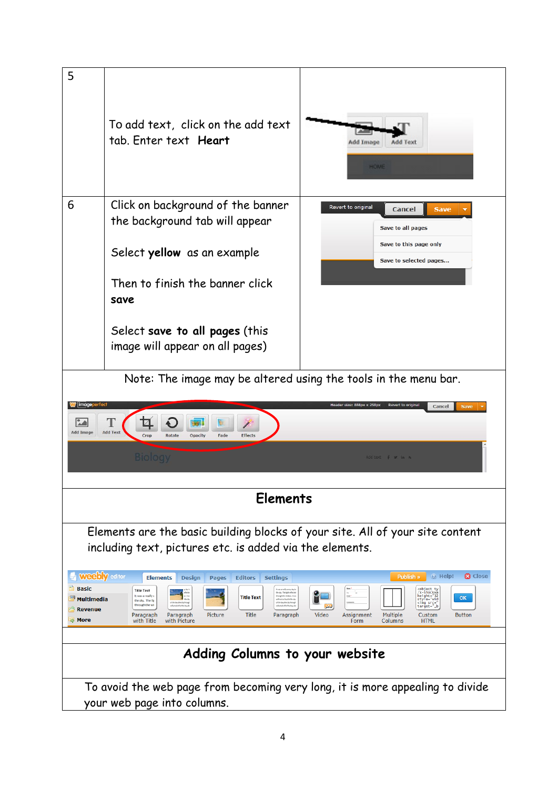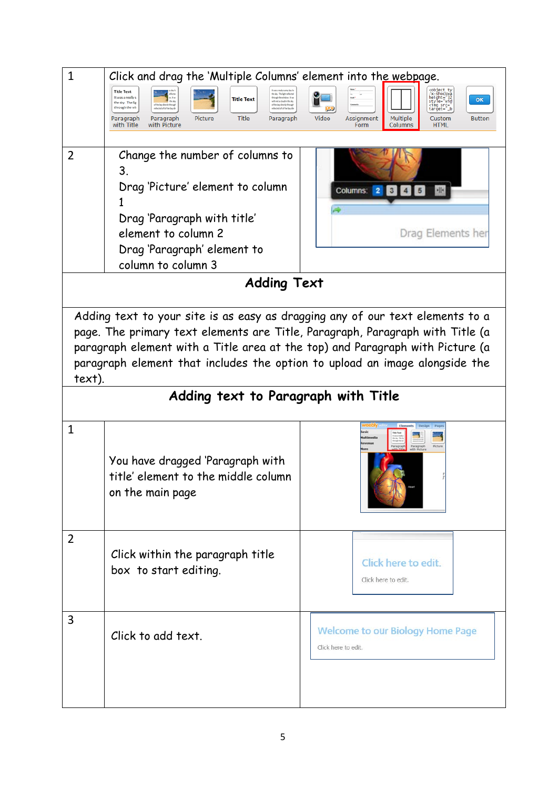| $\mathbf{1}$   | Click and drag the 'Multiple Columns' element into the webpage.                                                                                                                                                                                                                                                                                                                                                 |                                                                                                                                                                                                   |
|----------------|-----------------------------------------------------------------------------------------------------------------------------------------------------------------------------------------------------------------------------------------------------------------------------------------------------------------------------------------------------------------------------------------------------------------|---------------------------------------------------------------------------------------------------------------------------------------------------------------------------------------------------|
|                | <b>Title Text</b><br>he sky. The light reflecter<br>It was a really s<br>rough the window. It wa<br><b>Title Text</b><br>uith not a cloud in the sky<br>the sky. The lig<br>of the bay directly through<br>If the bay directly throug<br>through the wir<br>wheels with the base de<br>flected off of the bas d<br>Picture<br><b>Title</b><br>Paragraph<br>Paragraph<br>Paragraph<br>with Title<br>with Picture | object ty<br>/x-shockwa<br>height="32<br>style="wid<br>OK<br><img _b<br="" src="&lt;br&gt;target="/> Video<br>Assignment<br>Multiple<br><b>Button</b><br>Custom<br>Form<br>Columns<br><b>HTML</b> |
| $\overline{2}$ | Change the number of columns to<br>3.<br>Drag 'Picture' element to column<br>Drag 'Paragraph with title'<br>element to column 2<br>Drag 'Paragraph' element to<br>column to column 3<br><b>Adding Text</b>                                                                                                                                                                                                      | Columns: 2<br>alls.<br>3<br>Drag Elements her                                                                                                                                                     |
| text).         | Adding text to your site is as easy as dragging any of our text elements to a<br>page. The primary text elements are Title, Paragraph, Paragraph with Title (a<br>paragraph element with a Title area at the top) and Paragraph with Picture (a<br>paragraph element that includes the option to upload an image alongside the<br>Adding text to Paragraph with Title                                           |                                                                                                                                                                                                   |
| $\mathbf{1}$   | You have dragged 'Paragraph with<br>title' element to the middle column<br>on the main page                                                                                                                                                                                                                                                                                                                     | Picture<br>Paragrap                                                                                                                                                                               |
| $\overline{2}$ | Click within the paragraph title<br>box to start editing.                                                                                                                                                                                                                                                                                                                                                       | Click here to edit.<br>Click here to edit.                                                                                                                                                        |
| 3              | Click to add text.                                                                                                                                                                                                                                                                                                                                                                                              | <b>Welcome to our Biology Home Page</b><br>Click here to edit.                                                                                                                                    |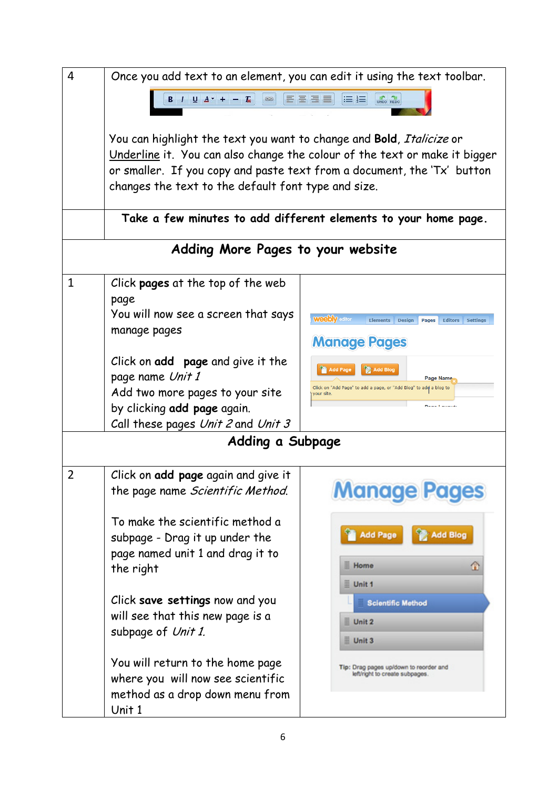| $\overline{4}$ | Once you add text to an element, you can edit it using the text toolbar.<br>UNDO REDO                                                                                                                                                                                                |                                                                                                                                                          |  |
|----------------|--------------------------------------------------------------------------------------------------------------------------------------------------------------------------------------------------------------------------------------------------------------------------------------|----------------------------------------------------------------------------------------------------------------------------------------------------------|--|
|                |                                                                                                                                                                                                                                                                                      |                                                                                                                                                          |  |
|                | You can highlight the text you want to change and Bold, Italicize or<br>Underline it. You can also change the colour of the text or make it bigger<br>or smaller. If you copy and paste text from a document, the 'Tx' button<br>changes the text to the default font type and size. |                                                                                                                                                          |  |
|                |                                                                                                                                                                                                                                                                                      | Take a few minutes to add different elements to your home page.                                                                                          |  |
|                | Adding More Pages to your website                                                                                                                                                                                                                                                    |                                                                                                                                                          |  |
| $\mathbf{1}$   | Click pages at the top of the web<br>page<br>You will now see a screen that says<br>manage pages<br>Click on <b>add</b> page and give it the<br>page name Unit 1                                                                                                                     | <b>Weebly</b> editor<br>Elements Design<br><b>Editors</b><br>Pages<br><b>Settings</b><br><b>Manage Pages</b><br>Add Blog<br>Add Page<br><b>Page Name</b> |  |
|                | Add two more pages to your site<br>by clicking add page again.<br>Call these pages Unit 2 and Unit 3                                                                                                                                                                                 | Click on "Add Page" to add a page, or "Add Blog" to add a blog to<br>our site.<br><b>Dealer Landered</b>                                                 |  |
|                | Adding a Subpage                                                                                                                                                                                                                                                                     |                                                                                                                                                          |  |
| $\overline{2}$ | Click on add page again and give it<br>the page name <i>Scientific Method</i> .<br>To make the scientific method a<br>subpage - Drag it up under the<br>page named unit 1 and drag it to<br>the right                                                                                | <b>Manage Pages</b><br><b>Add Page</b><br><b>Add Blog</b><br><b>Home</b>                                                                                 |  |
|                | Click save settings now and you<br>will see that this new page is a<br>subpage of Unit 1.                                                                                                                                                                                            | Unit 1<br><b>Scientific Method</b><br>Unit 2<br>Unit 3                                                                                                   |  |
|                | You will return to the home page<br>where you will now see scientific<br>method as a drop down menu from<br>Unit 1                                                                                                                                                                   | Tip: Drag pages up/down to reorder and<br>left/right to create subpages.                                                                                 |  |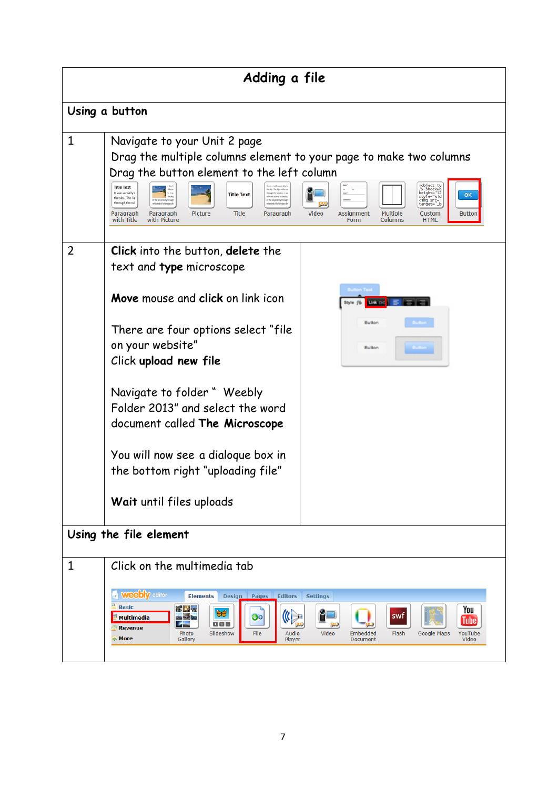| Adding a file          |                                                                                                                                                                                                                                                                                                                                                                                                                                                                                                                                                                                                                                                                                                                                                                                                                                 |  |  |
|------------------------|---------------------------------------------------------------------------------------------------------------------------------------------------------------------------------------------------------------------------------------------------------------------------------------------------------------------------------------------------------------------------------------------------------------------------------------------------------------------------------------------------------------------------------------------------------------------------------------------------------------------------------------------------------------------------------------------------------------------------------------------------------------------------------------------------------------------------------|--|--|
|                        | Using a button                                                                                                                                                                                                                                                                                                                                                                                                                                                                                                                                                                                                                                                                                                                                                                                                                  |  |  |
| $\mathbf{1}$           | Navigate to your Unit 2 page<br>Drag the multiple columns element to your page to make two columns<br>Drag the button element to the left column<br><br><br><br><br><t<br></t<br> ushockwa height="32 style="wid<br><time <br="" <target="_b" src="b"><b>Title Text</b><br/>the sky. The light reflected<br/>It was a really s<br/>through the window. It w<br/><b>Title Text</b><br>OK<br>with not a cloud in the sky<br>the sky. The lig<br/>of the bay directly through<br/>I'the bay directly through<br/>through the wir<br/>wheched off of the bay din<br/>effected off of the bay d<br/><b>Title</b><br/>Picture<br/>Video<br/>Assignment<br/>Multiple<br/><b>Button</b><br/>Paragraph<br/>Paragraph<br/>Paragraph<br/>Custom<br/>Columns<br/>with Title<br/>with Picture<br/>Form<br/><b>HTML</b></br></br></br></time> |  |  |
| 2                      | <b>Click</b> into the button, <b>delete</b> the<br>text and type microscope                                                                                                                                                                                                                                                                                                                                                                                                                                                                                                                                                                                                                                                                                                                                                     |  |  |
|                        | Move mouse and click on link icon<br>Button<br>Button<br>There are four options select "file<br>on your website"<br>Button<br>Click upload new file                                                                                                                                                                                                                                                                                                                                                                                                                                                                                                                                                                                                                                                                             |  |  |
|                        | Navigate to folder " Weebly<br>Folder 2013" and select the word<br>document called The Microscope                                                                                                                                                                                                                                                                                                                                                                                                                                                                                                                                                                                                                                                                                                                               |  |  |
|                        | You will now see a dialoque box in<br>the bottom right "uploading file"                                                                                                                                                                                                                                                                                                                                                                                                                                                                                                                                                                                                                                                                                                                                                         |  |  |
|                        | Wait until files uploads                                                                                                                                                                                                                                                                                                                                                                                                                                                                                                                                                                                                                                                                                                                                                                                                        |  |  |
| Using the file element |                                                                                                                                                                                                                                                                                                                                                                                                                                                                                                                                                                                                                                                                                                                                                                                                                                 |  |  |
| $\mathbf{1}$           | Click on the multimedia tab<br><b>Weebly editor</b><br><b>Elements</b><br>Design Pages<br><b>Editors</b><br><b>Settings</b><br><b>Basic</b><br><b>The Mark</b><br>You<br>UC<br>swt<br><b>Multimedia</b><br><b>State</b><br>Go<br>Tube<br>OOD<br><b>Revenue</b><br>Photo<br>Slideshow<br>File<br>Audio<br>Video<br>YouTube<br>Embedded<br>Flash<br>Google Maps<br><b>More</b><br>Gallery<br>Player<br>Video<br>Document                                                                                                                                                                                                                                                                                                                                                                                                          |  |  |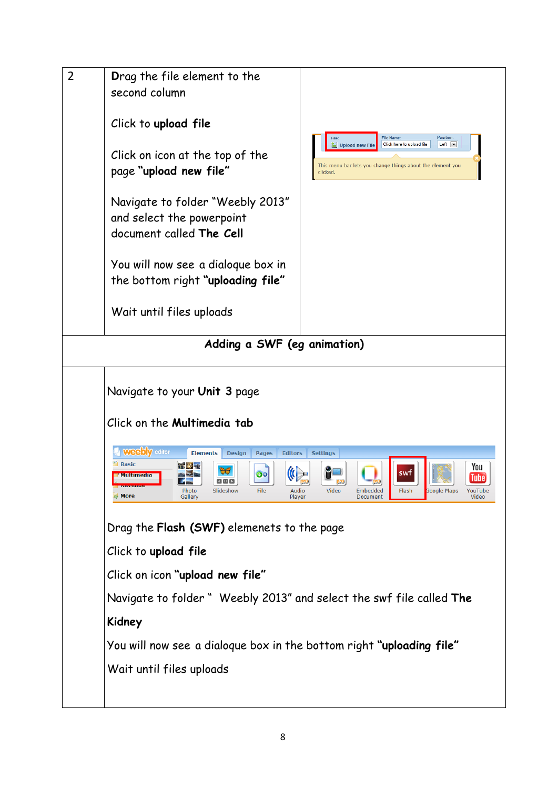| second column<br>Click to upload file<br>Click on icon at the top of the<br>page "upload new file"<br>Navigate to folder "Weebly 2013"<br>and select the powerpoint<br>document called The Cell<br>You will now see a dialoque box in<br>the bottom right "uploading file"<br>Wait until files uploads                                                                                       | Position:<br><b>File Name</b><br>$Left$ $\rightarrow$<br>Click here to upload file<br>Upload new File<br>This menu bar lets you change things about the element you<br>clicked. |
|----------------------------------------------------------------------------------------------------------------------------------------------------------------------------------------------------------------------------------------------------------------------------------------------------------------------------------------------------------------------------------------------|---------------------------------------------------------------------------------------------------------------------------------------------------------------------------------|
| Adding a SWF (eg animation)                                                                                                                                                                                                                                                                                                                                                                  |                                                                                                                                                                                 |
|                                                                                                                                                                                                                                                                                                                                                                                              |                                                                                                                                                                                 |
| Navigate to your Unit 3 page                                                                                                                                                                                                                                                                                                                                                                 |                                                                                                                                                                                 |
| Click on the <b>Multimedia tab</b>                                                                                                                                                                                                                                                                                                                                                           |                                                                                                                                                                                 |
| <b>Weebly</b> editor<br><b>Elements</b><br><b>Pages</b><br><b>Editors</b><br><b>Design</b><br><b>Settings</b><br><b>Basic</b><br>You<br>5 pm<br>$\boldsymbol{\Theta}$ ol<br>' Multimedia<br>Tube<br>$\blacksquare$<br><b>MeVenue</b><br>Slideshow<br>File<br>Audio<br>Video<br>Flash<br><b>Google Maps</b><br>YouTube<br>Photo<br>Embedded<br>More<br>Gallery<br>Player<br>Video<br>Document |                                                                                                                                                                                 |
| Drag the Flash (SWF) elemenets to the page                                                                                                                                                                                                                                                                                                                                                   |                                                                                                                                                                                 |
| Click to upload file                                                                                                                                                                                                                                                                                                                                                                         |                                                                                                                                                                                 |
| Click on icon "upload new file"                                                                                                                                                                                                                                                                                                                                                              |                                                                                                                                                                                 |
| Navigate to folder " Weebly 2013" and select the swf file called The                                                                                                                                                                                                                                                                                                                         |                                                                                                                                                                                 |
| Kidney                                                                                                                                                                                                                                                                                                                                                                                       |                                                                                                                                                                                 |
| You will now see a dialoque box in the bottom right "uploading file"                                                                                                                                                                                                                                                                                                                         |                                                                                                                                                                                 |
| Wait until files uploads                                                                                                                                                                                                                                                                                                                                                                     |                                                                                                                                                                                 |
|                                                                                                                                                                                                                                                                                                                                                                                              |                                                                                                                                                                                 |